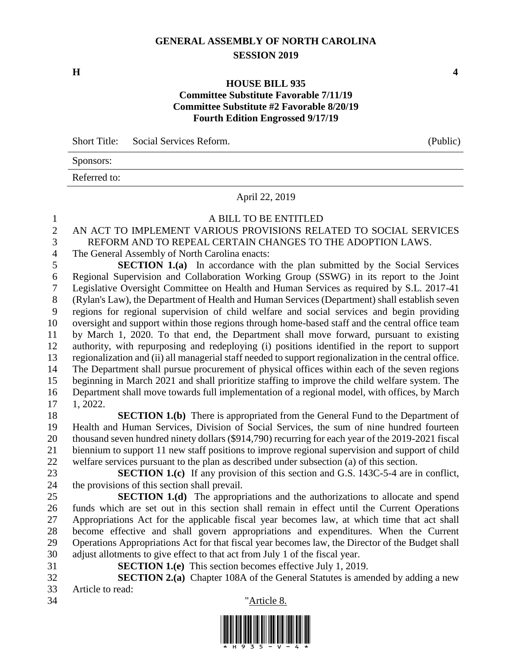### **GENERAL ASSEMBLY OF NORTH CAROLINA SESSION 2019**

**H 4**

#### **HOUSE BILL 935 Committee Substitute Favorable 7/11/19 Committee Substitute #2 Favorable 8/20/19 Fourth Edition Engrossed 9/17/19**

|              | Short Title: Social Services Reform. | (Public) |
|--------------|--------------------------------------|----------|
| Sponsors:    |                                      |          |
| Referred to: |                                      |          |
|              | April 22, 2019                       |          |

A BILL TO BE ENTITLED

| $\sqrt{2}$     | AN ACT TO IMPLEMENT VARIOUS PROVISIONS RELATED TO SOCIAL SERVICES                                      |
|----------------|--------------------------------------------------------------------------------------------------------|
| 3              | REFORM AND TO REPEAL CERTAIN CHANGES TO THE ADOPTION LAWS.                                             |
| $\overline{4}$ | The General Assembly of North Carolina enacts:                                                         |
| 5              | <b>SECTION 1.(a)</b> In accordance with the plan submitted by the Social Services                      |
| 6              | Regional Supervision and Collaboration Working Group (SSWG) in its report to the Joint                 |
| $\tau$         | Legislative Oversight Committee on Health and Human Services as required by S.L. 2017-41               |
| $8\,$          | (Rylan's Law), the Department of Health and Human Services (Department) shall establish seven          |
| 9              | regions for regional supervision of child welfare and social services and begin providing              |
| 10             | oversight and support within those regions through home-based staff and the central office team        |
| 11             | by March 1, 2020. To that end, the Department shall move forward, pursuant to existing                 |
| 12             | authority, with repurposing and redeploying (i) positions identified in the report to support          |
| 13             | regionalization and (ii) all managerial staff needed to support regionalization in the central office. |
| 14             | The Department shall pursue procurement of physical offices within each of the seven regions           |
| 15             | beginning in March 2021 and shall prioritize staffing to improve the child welfare system. The         |
| 16             | Department shall move towards full implementation of a regional model, with offices, by March          |
| 17             | 1, 2022.                                                                                               |
| 18             | <b>SECTION 1.(b)</b> There is appropriated from the General Fund to the Department of                  |
| 19             | Health and Human Services, Division of Social Services, the sum of nine hundred fourteen               |
| 20             | thousand seven hundred ninety dollars (\$914,790) recurring for each year of the 2019-2021 fiscal      |
| 21             | biennium to support 11 new staff positions to improve regional supervision and support of child        |
| 22             | welfare services pursuant to the plan as described under subsection (a) of this section.               |
| 23             | <b>SECTION 1.(c)</b> If any provision of this section and G.S. 143C-5-4 are in conflict,               |
| 24             | the provisions of this section shall prevail.                                                          |
| 25             | <b>SECTION 1.(d)</b> The appropriations and the authorizations to allocate and spend                   |
| 26             | funds which are set out in this section shall remain in effect until the Current Operations            |
| 27             | Appropriations Act for the applicable fiscal year becomes law, at which time that act shall            |
| 28             | become effective and shall govern appropriations and expenditures. When the Current                    |
| 29             | Operations Appropriations Act for that fiscal year becomes law, the Director of the Budget shall       |
| 30             | adjust allotments to give effect to that act from July 1 of the fiscal year.                           |
| 31             | <b>SECTION 1.(e)</b> This section becomes effective July 1, 2019.                                      |
| 32             | <b>SECTION 2.(a)</b> Chapter 108A of the General Statutes is amended by adding a new                   |
| 33<br>34       | Article to read:                                                                                       |
|                | "Article 8.                                                                                            |
|                | <u>I INDIANI MILA INIMA ILIAI MILI ILIANI MILAI ILIMIN MINI INDI</u>                                   |

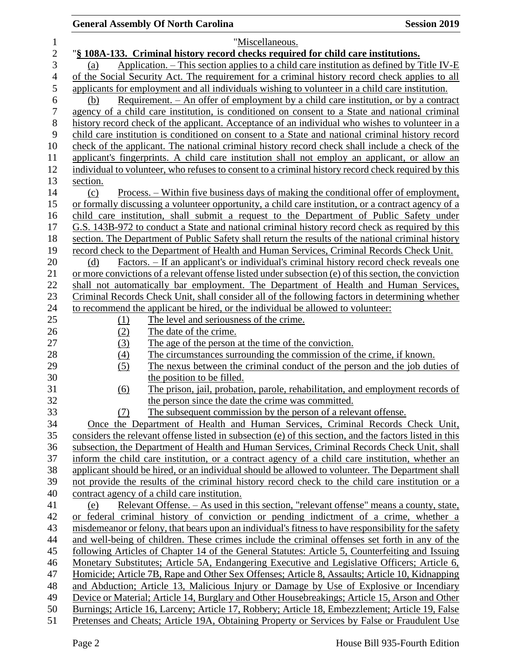| $\mathbf 1$    | "Miscellaneous.                                                                                              |
|----------------|--------------------------------------------------------------------------------------------------------------|
| $\overline{2}$ | "§ 108A-133. Criminal history record checks required for child care institutions.                            |
| 3              | Application. $-$ This section applies to a child care institution as defined by Title IV-E<br>(a)            |
| 4              | of the Social Security Act. The requirement for a criminal history record check applies to all               |
| 5              | applicants for employment and all individuals wishing to volunteer in a child care institution.              |
| 6              | Requirement. - An offer of employment by a child care institution, or by a contract<br>(b)                   |
| 7              | agency of a child care institution, is conditioned on consent to a State and national criminal               |
| $8\,$          | history record check of the applicant. Acceptance of an individual who wishes to volunteer in a              |
| 9              | child care institution is conditioned on consent to a State and national criminal history record             |
| 10             | check of the applicant. The national criminal history record check shall include a check of the              |
| 11             | applicant's fingerprints. A child care institution shall not employ an applicant, or allow an                |
| 12             | individual to volunteer, who refuses to consent to a criminal history record check required by this          |
| 13             | section.                                                                                                     |
| 14             | <u>Process. – Within five business days of making the conditional offer of employment,</u><br>(c)            |
| 15             | or formally discussing a volunteer opportunity, a child care institution, or a contract agency of a          |
| 16             | child care institution, shall submit a request to the Department of Public Safety under                      |
| 17             | G.S. 143B-972 to conduct a State and national criminal history record check as required by this              |
| 18             | section. The Department of Public Safety shall return the results of the national criminal history           |
| 19             | record check to the Department of Health and Human Services, Criminal Records Check Unit.                    |
| 20             | Factors. – If an applicant's or individual's criminal history record check reveals one<br>(d)                |
| 21             | or more convictions of a relevant offense listed under subsection (e) of this section, the conviction        |
| 22             | shall not automatically bar employment. The Department of Health and Human Services,                         |
| 23             | Criminal Records Check Unit, shall consider all of the following factors in determining whether              |
| 24             | to recommend the applicant be hired, or the individual be allowed to volunteer.                              |
| 25             | The level and seriousness of the crime.<br><u>(1)</u>                                                        |
| 26             | The date of the crime.<br>(2)                                                                                |
| 27             | The age of the person at the time of the conviction.<br>(3)                                                  |
| 28             | The circumstances surrounding the commission of the crime, if known.<br>(4)                                  |
| 29             | (5)<br>The nexus between the criminal conduct of the person and the job duties of                            |
| 30<br>31       | the position to be filled.<br>The prison, jail, probation, parole, rehabilitation, and employment records of |
| 32             | (6)<br>the person since the date the crime was committed.                                                    |
| 33             | The subsequent commission by the person of a relevant offense.<br>(7)                                        |
| 34             | Once the Department of Health and Human Services, Criminal Records Check Unit,                               |
| 35             | considers the relevant offense listed in subsection (e) of this section, and the factors listed in this      |
| 36             | subsection, the Department of Health and Human Services, Criminal Records Check Unit, shall                  |
| 37             | inform the child care institution, or a contract agency of a child care institution, whether an              |
| 38             | applicant should be hired, or an individual should be allowed to volunteer. The Department shall             |
| 39             | not provide the results of the criminal history record check to the child care institution or a              |
| 40             | contract agency of a child care institution.                                                                 |
| 41             | Relevant Offense. – As used in this section, "relevant offense" means a county, state,<br>(e)                |
| 42             | or federal criminal history of conviction or pending indictment of a crime, whether a                        |
| 43             | misdemeanor or felony, that bears upon an individual's fitness to have responsibility for the safety         |
| 44             | and well-being of children. These crimes include the criminal offenses set forth in any of the               |
| 45             | following Articles of Chapter 14 of the General Statutes: Article 5, Counterfeiting and Issuing              |
| 46             | Monetary Substitutes; Article 5A, Endangering Executive and Legislative Officers; Article 6,                 |
| 47             | Homicide; Article 7B, Rape and Other Sex Offenses; Article 8, Assaults; Article 10, Kidnapping               |
| 48             | and Abduction; Article 13, Malicious Injury or Damage by Use of Explosive or Incendiary                      |
| 49             | Device or Material; Article 14, Burglary and Other Housebreakings; Article 15, Arson and Other               |
| 50             | Burnings; Article 16, Larceny; Article 17, Robbery; Article 18, Embezzlement; Article 19, False              |
| 51             | Pretenses and Cheats; Article 19A, Obtaining Property or Services by False or Fraudulent Use                 |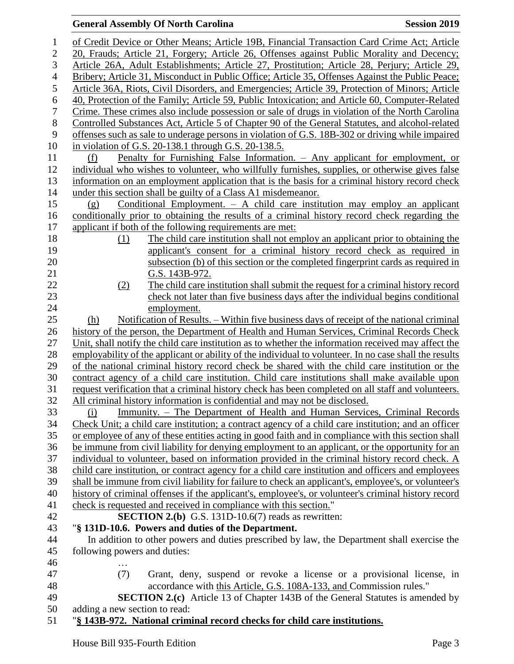| $\mathbf 1$      | of Credit Device or Other Means; Article 19B, Financial Transaction Card Crime Act; Article            |  |  |  |  |
|------------------|--------------------------------------------------------------------------------------------------------|--|--|--|--|
| $\mathbf{2}$     | 20, Frauds; Article 21, Forgery; Article 26, Offenses against Public Morality and Decency;             |  |  |  |  |
| 3                | Article 26A, Adult Establishments; Article 27, Prostitution; Article 28, Perjury; Article 29,          |  |  |  |  |
| $\overline{4}$   | Bribery; Article 31, Misconduct in Public Office; Article 35, Offenses Against the Public Peace;       |  |  |  |  |
| 5                | Article 36A, Riots, Civil Disorders, and Emergencies; Article 39, Protection of Minors; Article        |  |  |  |  |
| $\boldsymbol{6}$ | 40, Protection of the Family; Article 59, Public Intoxication; and Article 60, Computer-Related        |  |  |  |  |
| $\tau$           | Crime. These crimes also include possession or sale of drugs in violation of the North Carolina        |  |  |  |  |
| $8\,$            | Controlled Substances Act, Article 5 of Chapter 90 of the General Statutes, and alcohol-related        |  |  |  |  |
| $\boldsymbol{9}$ | offenses such as sale to underage persons in violation of G.S. 18B-302 or driving while impaired       |  |  |  |  |
| 10               | in violation of G.S. 20-138.1 through G.S. 20-138.5.                                                   |  |  |  |  |
| 11               | Penalty for Furnishing False Information. – Any applicant for employment, or<br>(f)                    |  |  |  |  |
| 12               | individual who wishes to volunteer, who willfully furnishes, supplies, or otherwise gives false        |  |  |  |  |
| 13               | information on an employment application that is the basis for a criminal history record check         |  |  |  |  |
| 14               | under this section shall be guilty of a Class A1 misdemeanor.                                          |  |  |  |  |
| 15               | Conditional Employment. $-$ A child care institution may employ an applicant<br>(g)                    |  |  |  |  |
| 16               | conditionally prior to obtaining the results of a criminal history record check regarding the          |  |  |  |  |
| 17               | applicant if both of the following requirements are met:                                               |  |  |  |  |
| 18               | The child care institution shall not employ an applicant prior to obtaining the<br>(1)                 |  |  |  |  |
| 19               | applicant's consent for a criminal history record check as required in                                 |  |  |  |  |
| $20\,$           | subsection (b) of this section or the completed fingerprint cards as required in                       |  |  |  |  |
| 21               | G.S. 143B-972.                                                                                         |  |  |  |  |
| 22               | The child care institution shall submit the request for a criminal history record<br>(2)               |  |  |  |  |
| 23               | check not later than five business days after the individual begins conditional                        |  |  |  |  |
| 24               | employment.                                                                                            |  |  |  |  |
| 25               | Notification of Results. – Within five business days of receipt of the national criminal<br>(h)        |  |  |  |  |
| 26               | history of the person, the Department of Health and Human Services, Criminal Records Check             |  |  |  |  |
| 27               | Unit, shall notify the child care institution as to whether the information received may affect the    |  |  |  |  |
| 28               | employability of the applicant or ability of the individual to volunteer. In no case shall the results |  |  |  |  |
| 29               | of the national criminal history record check be shared with the child care institution or the         |  |  |  |  |
| 30               | contract agency of a child care institution. Child care institutions shall make available upon         |  |  |  |  |
| 31               | request verification that a criminal history check has been completed on all staff and volunteers.     |  |  |  |  |
| 32               | All criminal history information is confidential and may not be disclosed.                             |  |  |  |  |
| 33               | <u>Immunity. – The Department of Health and Human Services, Criminal Records</u><br>(i)                |  |  |  |  |
| 34               | Check Unit; a child care institution; a contract agency of a child care institution; and an officer    |  |  |  |  |
| 35               | or employee of any of these entities acting in good faith and in compliance with this section shall    |  |  |  |  |
| 36               | be immune from civil liability for denying employment to an applicant, or the opportunity for an       |  |  |  |  |
| 37               | individual to volunteer, based on information provided in the criminal history record check. A         |  |  |  |  |
| 38               | child care institution, or contract agency for a child care institution and officers and employees     |  |  |  |  |
| 39               | shall be immune from civil liability for failure to check an applicant's, employee's, or volunteer's   |  |  |  |  |
| 40               | history of criminal offenses if the applicant's, employee's, or volunteer's criminal history record    |  |  |  |  |
| 41               | check is requested and received in compliance with this section."                                      |  |  |  |  |
| 42               | <b>SECTION 2.(b)</b> G.S. 131D-10.6(7) reads as rewritten:                                             |  |  |  |  |
| 43               | "§ 131D-10.6. Powers and duties of the Department.                                                     |  |  |  |  |
| 44               | In addition to other powers and duties prescribed by law, the Department shall exercise the            |  |  |  |  |
| 45               | following powers and duties:                                                                           |  |  |  |  |
| 46               |                                                                                                        |  |  |  |  |
| 47               | (7)<br>Grant, deny, suspend or revoke a license or a provisional license, in                           |  |  |  |  |
| 48               | accordance with this Article, G.S. 108A-133, and Commission rules."                                    |  |  |  |  |
| 49               | <b>SECTION 2.(c)</b> Article 13 of Chapter 143B of the General Statutes is amended by                  |  |  |  |  |
| 50               | adding a new section to read:                                                                          |  |  |  |  |
| 51               | "§ 143B-972. National criminal record checks for child care institutions.                              |  |  |  |  |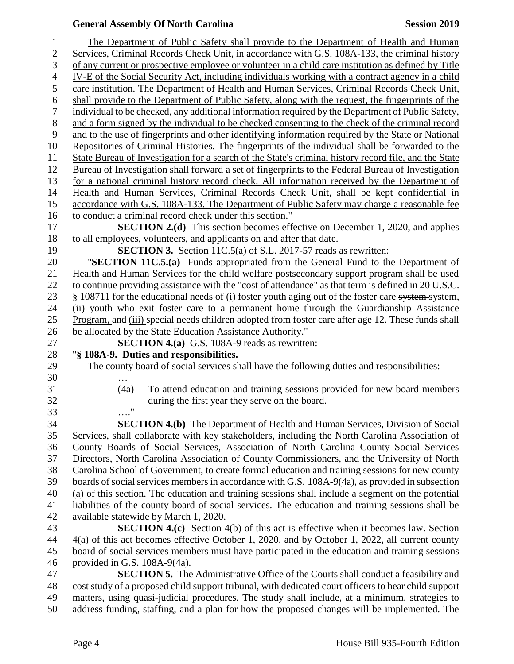| 1              | The Department of Public Safety shall provide to the Department of Health and Human                                                                                                           |
|----------------|-----------------------------------------------------------------------------------------------------------------------------------------------------------------------------------------------|
| $\sqrt{2}$     | Services, Criminal Records Check Unit, in accordance with G.S. 108A-133, the criminal history                                                                                                 |
| 3              | of any current or prospective employee or volunteer in a child care institution as defined by Title                                                                                           |
| $\overline{4}$ | IV-E of the Social Security Act, including individuals working with a contract agency in a child                                                                                              |
| 5              | care institution. The Department of Health and Human Services, Criminal Records Check Unit,                                                                                                   |
| 6              | shall provide to the Department of Public Safety, along with the request, the fingerprints of the                                                                                             |
| 7              | individual to be checked, any additional information required by the Department of Public Safety,                                                                                             |
| $8\,$          | and a form signed by the individual to be checked consenting to the check of the criminal record                                                                                              |
| 9              | and to the use of fingerprints and other identifying information required by the State or National                                                                                            |
| 10             | Repositories of Criminal Histories. The fingerprints of the individual shall be forwarded to the                                                                                              |
| 11             | State Bureau of Investigation for a search of the State's criminal history record file, and the State                                                                                         |
| 12             | Bureau of Investigation shall forward a set of fingerprints to the Federal Bureau of Investigation                                                                                            |
| 13             | for a national criminal history record check. All information received by the Department of                                                                                                   |
| 14             | Health and Human Services, Criminal Records Check Unit, shall be kept confidential in                                                                                                         |
| 15             | accordance with G.S. 108A-133. The Department of Public Safety may charge a reasonable fee                                                                                                    |
| 16             | to conduct a criminal record check under this section."                                                                                                                                       |
| 17             | <b>SECTION 2.(d)</b> This section becomes effective on December 1, 2020, and applies                                                                                                          |
| 18             | to all employees, volunteers, and applicants on and after that date.                                                                                                                          |
| 19             | <b>SECTION 3.</b> Section 11C.5(a) of S.L. 2017-57 reads as rewritten:                                                                                                                        |
| 20             | "SECTION 11C.5.(a) Funds appropriated from the General Fund to the Department of                                                                                                              |
| 21             | Health and Human Services for the child welfare postsecondary support program shall be used                                                                                                   |
| 22             | to continue providing assistance with the "cost of attendance" as that term is defined in 20 U.S.C.                                                                                           |
| 23             | § 108711 for the educational needs of (i) foster youth aging out of the foster care system system,                                                                                            |
| 24             | (ii) youth who exit foster care to a permanent home through the Guardianship Assistance                                                                                                       |
| 25             | Program, and (iii) special needs children adopted from foster care after age 12. These funds shall                                                                                            |
| 26             | be allocated by the State Education Assistance Authority."                                                                                                                                    |
| 27             | <b>SECTION 4.(a)</b> G.S. 108A-9 reads as rewritten:                                                                                                                                          |
| 28             | "§ 108A-9. Duties and responsibilities.                                                                                                                                                       |
| 29             | The county board of social services shall have the following duties and responsibilities:                                                                                                     |
| 30             |                                                                                                                                                                                               |
| 31             | To attend education and training sessions provided for new board members<br>(4a)                                                                                                              |
| 32             | during the first year they serve on the board.                                                                                                                                                |
| 33             |                                                                                                                                                                                               |
| 34             | <b>SECTION 4.(b)</b> The Department of Health and Human Services, Division of Social                                                                                                          |
| 35             | Services, shall collaborate with key stakeholders, including the North Carolina Association of                                                                                                |
| 36             | County Boards of Social Services, Association of North Carolina County Social Services                                                                                                        |
| 37             | Directors, North Carolina Association of County Commissioners, and the University of North                                                                                                    |
| 38             | Carolina School of Government, to create formal education and training sessions for new county                                                                                                |
| 39             | boards of social services members in accordance with G.S. 108A-9(4a), as provided in subsection                                                                                               |
| 40             | (a) of this section. The education and training sessions shall include a segment on the potential                                                                                             |
| 41             | liabilities of the county board of social services. The education and training sessions shall be                                                                                              |
| 42             | available statewide by March 1, 2020.                                                                                                                                                         |
| 43             | <b>SECTION 4.(c)</b> Section 4(b) of this act is effective when it becomes law. Section                                                                                                       |
| 44             | 4(a) of this act becomes effective October 1, 2020, and by October 1, 2022, all current county                                                                                                |
| 45             | board of social services members must have participated in the education and training sessions                                                                                                |
| 46             | provided in G.S. 108A-9(4a).                                                                                                                                                                  |
| 47<br>48       | <b>SECTION 5.</b> The Administrative Office of the Courts shall conduct a feasibility and                                                                                                     |
| 49             | cost study of a proposed child support tribunal, with dedicated court officers to hear child support                                                                                          |
|                |                                                                                                                                                                                               |
| 50             | matters, using quasi-judicial procedures. The study shall include, at a minimum, strategies to<br>address funding, staffing, and a plan for how the proposed changes will be implemented. The |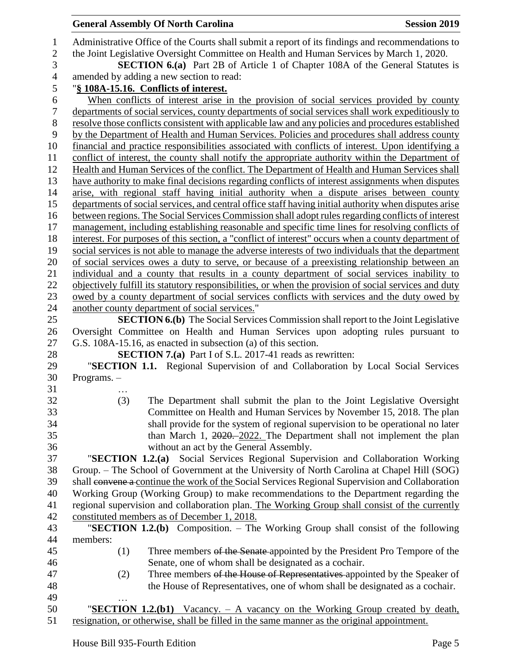|               | <b>General Assembly Of North Carolina</b>                                                                                                                                                    | <b>Session 2019</b> |
|---------------|----------------------------------------------------------------------------------------------------------------------------------------------------------------------------------------------|---------------------|
|               | Administrative Office of the Courts shall submit a report of its findings and recommendations to<br>the Joint Legislative Oversight Committee on Health and Human Services by March 1, 2020. |                     |
|               | <b>SECTION 6.(a)</b> Part 2B of Article 1 of Chapter 108A of the General Statutes is                                                                                                         |                     |
|               | amended by adding a new section to read:                                                                                                                                                     |                     |
|               | "§ 108A-15.16. Conflicts of interest.                                                                                                                                                        |                     |
|               | When conflicts of interest arise in the provision of social services provided by county<br>departments of social services, county departments of social services shall work expeditiously to |                     |
|               | resolve those conflicts consistent with applicable law and any policies and procedures established                                                                                           |                     |
|               | by the Department of Health and Human Services. Policies and procedures shall address county                                                                                                 |                     |
|               | financial and practice responsibilities associated with conflicts of interest. Upon identifying a                                                                                            |                     |
|               | conflict of interest, the county shall notify the appropriate authority within the Department of                                                                                             |                     |
|               | Health and Human Services of the conflict. The Department of Health and Human Services shall                                                                                                 |                     |
|               | have authority to make final decisions regarding conflicts of interest assignments when disputes                                                                                             |                     |
|               | arise, with regional staff having initial authority when a dispute arises between county                                                                                                     |                     |
|               | departments of social services, and central office staff having initial authority when disputes arise                                                                                        |                     |
|               | between regions. The Social Services Commission shall adopt rules regarding conflicts of interest                                                                                            |                     |
|               | management, including establishing reasonable and specific time lines for resolving conflicts of                                                                                             |                     |
|               | interest. For purposes of this section, a "conflict of interest" occurs when a county department of                                                                                          |                     |
|               | social services is not able to manage the adverse interests of two individuals that the department                                                                                           |                     |
|               | of social services owes a duty to serve, or because of a preexisting relationship between an                                                                                                 |                     |
|               | individual and a county that results in a county department of social services inability to                                                                                                  |                     |
|               | objectively fulfill its statutory responsibilities, or when the provision of social services and duty                                                                                        |                     |
|               | owed by a county department of social services conflicts with services and the duty owed by                                                                                                  |                     |
|               | another county department of social services."                                                                                                                                               |                     |
|               | <b>SECTION 6.(b)</b> The Social Services Commission shall report to the Joint Legislative                                                                                                    |                     |
|               | Oversight Committee on Health and Human Services upon adopting rules pursuant to                                                                                                             |                     |
|               | G.S. 108A-15.16, as enacted in subsection (a) of this section.                                                                                                                               |                     |
|               | <b>SECTION 7.(a)</b> Part I of S.L. 2017-41 reads as rewritten:                                                                                                                              |                     |
|               | "SECTION 1.1. Regional Supervision of and Collaboration by Local Social Services                                                                                                             |                     |
| Programs. $-$ |                                                                                                                                                                                              |                     |
| (3)           | The Department shall submit the plan to the Joint Legislative Oversight                                                                                                                      |                     |
|               | Committee on Health and Human Services by November 15, 2018. The plan                                                                                                                        |                     |
|               | shall provide for the system of regional supervision to be operational no later                                                                                                              |                     |
|               | than March 1, $2020 - 2022$ . The Department shall not implement the plan                                                                                                                    |                     |
|               | without an act by the General Assembly.                                                                                                                                                      |                     |
|               | "SECTION 1.2.(a) Social Services Regional Supervision and Collaboration Working                                                                                                              |                     |
|               | Group. – The School of Government at the University of North Carolina at Chapel Hill (SOG)                                                                                                   |                     |
|               | shall convene a continue the work of the Social Services Regional Supervision and Collaboration                                                                                              |                     |
|               | Working Group (Working Group) to make recommendations to the Department regarding the                                                                                                        |                     |
|               | regional supervision and collaboration plan. The Working Group shall consist of the currently                                                                                                |                     |
|               | constituted members as of December 1, 2018.                                                                                                                                                  |                     |
|               | "SECTION 1.2.(b) Composition. - The Working Group shall consist of the following                                                                                                             |                     |
| members:      |                                                                                                                                                                                              |                     |
| (1)           | Three members of the Senate appointed by the President Pro Tempore of the                                                                                                                    |                     |
|               | Senate, one of whom shall be designated as a cochair.                                                                                                                                        |                     |
| (2)           | Three members of the House of Representatives appointed by the Speaker of                                                                                                                    |                     |
|               | the House of Representatives, one of whom shall be designated as a cochair.                                                                                                                  |                     |
|               |                                                                                                                                                                                              |                     |
|               | " <b>SECTION 1.2.(b1)</b> Vacancy. – A vacancy on the Working Group created by death,                                                                                                        |                     |
|               | resignation, or otherwise, shall be filled in the same manner as the original appointment.                                                                                                   |                     |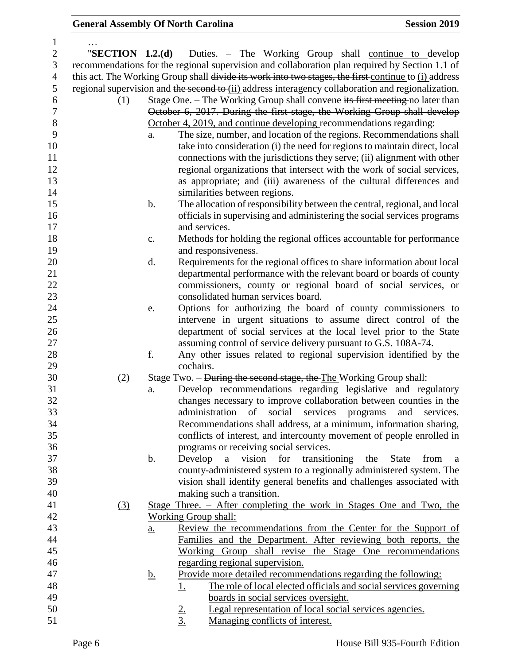| $\mathbf{1}$   |     |               |                                                                                                      |
|----------------|-----|---------------|------------------------------------------------------------------------------------------------------|
| $\sqrt{2}$     |     |               | "SECTION 1.2.(d) Duties. – The Working Group shall continue to develop                               |
| 3              |     |               | recommendations for the regional supervision and collaboration plan required by Section 1.1 of       |
| $\overline{4}$ |     |               | this act. The Working Group shall divide its work into two stages, the first continue to (i) address |
| 5              |     |               | regional supervision and the second to (ii) address interagency collaboration and regionalization.   |
| 6              | (1) |               | Stage One. – The Working Group shall convene its first meeting no later than                         |
| $\overline{7}$ |     |               | October 6, 2017. During the first stage, the Working Group shall develop                             |
| $8\,$          |     |               | October 4, 2019, and continue developing recommendations regarding:                                  |
| 9              |     | a.            | The size, number, and location of the regions. Recommendations shall                                 |
| 10             |     |               |                                                                                                      |
|                |     |               | take into consideration (i) the need for regions to maintain direct, local                           |
| 11             |     |               | connections with the jurisdictions they serve; (ii) alignment with other                             |
| 12             |     |               | regional organizations that intersect with the work of social services,                              |
| 13             |     |               | as appropriate; and (iii) awareness of the cultural differences and                                  |
| 14             |     |               | similarities between regions.                                                                        |
| 15             |     | b.            | The allocation of responsibility between the central, regional, and local                            |
| 16             |     |               | officials in supervising and administering the social services programs                              |
| 17             |     |               | and services.                                                                                        |
| 18             |     | c.            | Methods for holding the regional offices accountable for performance                                 |
| 19             |     |               | and responsiveness.                                                                                  |
| 20             |     | d.            | Requirements for the regional offices to share information about local                               |
| 21             |     |               | departmental performance with the relevant board or boards of county                                 |
| 22             |     |               | commissioners, county or regional board of social services, or                                       |
| 23             |     |               | consolidated human services board.                                                                   |
| 24             |     | e.            | Options for authorizing the board of county commissioners to                                         |
| 25             |     |               | intervene in urgent situations to assume direct control of the                                       |
| 26             |     |               | department of social services at the local level prior to the State                                  |
| 27             |     |               | assuming control of service delivery pursuant to G.S. 108A-74.                                       |
| 28             |     | f.            | Any other issues related to regional supervision identified by the                                   |
| 29             |     |               | cochairs.                                                                                            |
| 30             | (2) |               | Stage Two. – During the second stage, the The Working Group shall:                                   |
| 31             |     | a.            | Develop recommendations regarding legislative and regulatory                                         |
| 32             |     |               | changes necessary to improve collaboration between counties in the                                   |
| 33             |     |               | administration of social services programs and services.                                             |
| 34             |     |               | Recommendations shall address, at a minimum, information sharing,                                    |
| 35             |     |               | conflicts of interest, and intercounty movement of people enrolled in                                |
| 36             |     |               | programs or receiving social services.                                                               |
| 37             |     | $\mathbf b$ . | transitioning<br>Develop<br>a<br>vision<br>for<br>the<br><b>State</b><br>from                        |
| 38             |     |               | a                                                                                                    |
| 39             |     |               | county-administered system to a regionally administered system. The                                  |
|                |     |               | vision shall identify general benefits and challenges associated with                                |
| 40             |     |               | making such a transition.                                                                            |
| 41             | (3) |               | Stage Three. – After completing the work in Stages One and Two, the                                  |
| 42             |     |               | Working Group shall:                                                                                 |
| 43             |     | <u>a.</u>     | Review the recommendations from the Center for the Support of                                        |
| 44             |     |               | Families and the Department. After reviewing both reports, the                                       |
| 45             |     |               | Working Group shall revise the Stage One recommendations                                             |
| 46             |     |               | regarding regional supervision.                                                                      |
| 47             |     | <u>b.</u>     | Provide more detailed recommendations regarding the following:                                       |
| 48             |     |               | The role of local elected officials and social services governing<br><u>1.</u>                       |
| 49             |     |               | boards in social services oversight.                                                                 |
| 50             |     |               | Legal representation of local social services agencies.<br>$\frac{2}{3}$                             |
| 51             |     |               | Managing conflicts of interest.                                                                      |